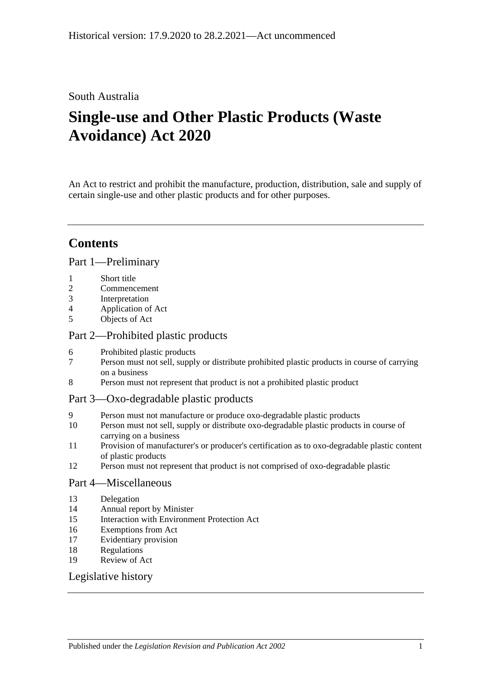### South Australia

# **Single-use and Other Plastic Products (Waste Avoidance) Act 2020**

An Act to restrict and prohibit the manufacture, production, distribution, sale and supply of certain single-use and other plastic products and for other purposes.

### **Contents**

### Part [1—Preliminary](#page-1-0)

- 1 [Short title](#page-1-1)
- 2 [Commencement](#page-1-2)
- 3 [Interpretation](#page-1-3)
- 4 [Application of Act](#page-1-4)
- 5 [Objects of Act](#page-1-5)

### Part [2—Prohibited plastic products](#page-2-0)

- 6 [Prohibited plastic products](#page-2-1)
- 7 [Person must not sell, supply or distribute prohibited plastic products in course of carrying](#page-2-2)  [on a business](#page-2-2)
- 8 [Person must not represent that product is not a prohibited plastic product](#page-3-0)

### Part [3—Oxo-degradable plastic products](#page-4-0)

- 9 [Person must not manufacture or produce oxo-degradable plastic products](#page-4-1)
- 10 [Person must not sell, supply or distribute oxo-degradable plastic products in course of](#page-4-2)  [carrying on a business](#page-4-2)
- 11 [Provision of manufacturer's or producer's certification as to oxo-degradable plastic content](#page-5-0)  [of plastic products](#page-5-0)
- 12 [Person must not represent that product is not comprised of oxo-degradable plastic](#page-5-1)

### Part [4—Miscellaneous](#page-5-2)

- 13 [Delegation](#page-5-3)
- 14 [Annual report by Minister](#page-6-0)
- 15 [Interaction with Environment Protection Act](#page-7-0)
- 16 [Exemptions from Act](#page-7-1)
- 17 [Evidentiary provision](#page-7-2)
- 18 [Regulations](#page-7-3)
- 19 [Review of Act](#page-8-0)

### [Legislative history](#page-9-0)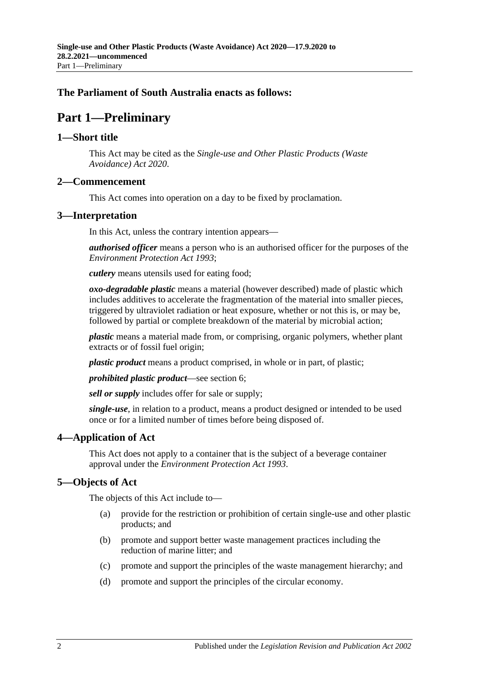### <span id="page-1-0"></span>**The Parliament of South Australia enacts as follows:**

## **Part 1—Preliminary**

### <span id="page-1-1"></span>**1—Short title**

This Act may be cited as the *Single-use and Other Plastic Products (Waste Avoidance) Act 2020*.

### <span id="page-1-2"></span>**2—Commencement**

This Act comes into operation on a day to be fixed by proclamation.

### <span id="page-1-3"></span>**3—Interpretation**

In this Act, unless the contrary intention appears—

*authorised officer* means a person who is an authorised officer for the purposes of the *[Environment Protection Act](http://www.legislation.sa.gov.au/index.aspx?action=legref&type=act&legtitle=Environment%20Protection%20Act%201993) 1993*;

*cutlery* means utensils used for eating food;

*oxo-degradable plastic* means a material (however described) made of plastic which includes additives to accelerate the fragmentation of the material into smaller pieces, triggered by ultraviolet radiation or heat exposure, whether or not this is, or may be, followed by partial or complete breakdown of the material by microbial action;

*plastic* means a material made from, or comprising, organic polymers, whether plant extracts or of fossil fuel origin;

*plastic product* means a product comprised, in whole or in part, of plastic;

*prohibited plastic product*—see [section](#page-2-1) 6;

*sell or supply* includes offer for sale or supply;

*single-use*, in relation to a product, means a product designed or intended to be used once or for a limited number of times before being disposed of.

### <span id="page-1-4"></span>**4—Application of Act**

This Act does not apply to a container that is the subject of a beverage container approval under the *[Environment Protection Act](http://www.legislation.sa.gov.au/index.aspx?action=legref&type=act&legtitle=Environment%20Protection%20Act%201993) 1993*.

### <span id="page-1-5"></span>**5—Objects of Act**

The objects of this Act include to—

- (a) provide for the restriction or prohibition of certain single-use and other plastic products; and
- (b) promote and support better waste management practices including the reduction of marine litter; and
- (c) promote and support the principles of the waste management hierarchy; and
- (d) promote and support the principles of the circular economy.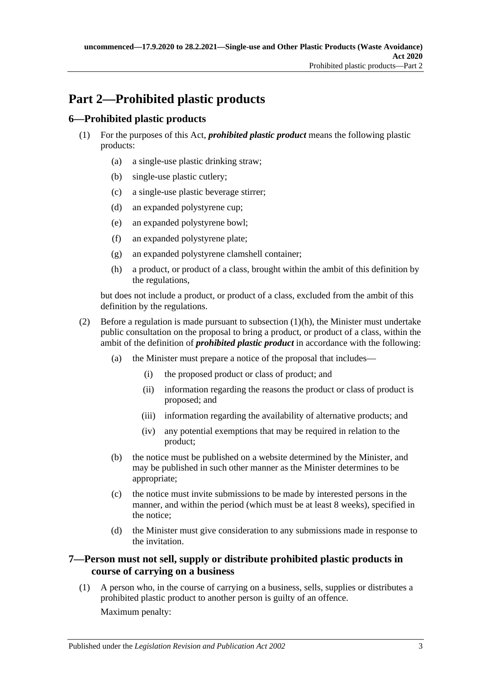## <span id="page-2-0"></span>**Part 2—Prohibited plastic products**

### <span id="page-2-1"></span>**6—Prohibited plastic products**

- (1) For the purposes of this Act, *prohibited plastic product* means the following plastic products:
	- (a) a single-use plastic drinking straw;
	- (b) single-use plastic cutlery;
	- (c) a single-use plastic beverage stirrer;
	- (d) an expanded polystyrene cup;
	- (e) an expanded polystyrene bowl;
	- (f) an expanded polystyrene plate;
	- (g) an expanded polystyrene clamshell container;
	- (h) a product, or product of a class, brought within the ambit of this definition by the regulations,

<span id="page-2-3"></span>but does not include a product, or product of a class, excluded from the ambit of this definition by the regulations.

- (2) Before a regulation is made pursuant to [subsection](#page-2-3) (1)(h), the Minister must undertake public consultation on the proposal to bring a product, or product of a class, within the ambit of the definition of *prohibited plastic product* in accordance with the following:
	- (a) the Minister must prepare a notice of the proposal that includes—
		- (i) the proposed product or class of product; and
		- (ii) information regarding the reasons the product or class of product is proposed; and
		- (iii) information regarding the availability of alternative products; and
		- (iv) any potential exemptions that may be required in relation to the product;
	- (b) the notice must be published on a website determined by the Minister, and may be published in such other manner as the Minister determines to be appropriate;
	- (c) the notice must invite submissions to be made by interested persons in the manner, and within the period (which must be at least 8 weeks), specified in the notice;
	- (d) the Minister must give consideration to any submissions made in response to the invitation.

### <span id="page-2-2"></span>**7—Person must not sell, supply or distribute prohibited plastic products in course of carrying on a business**

<span id="page-2-4"></span>(1) A person who, in the course of carrying on a business, sells, supplies or distributes a prohibited plastic product to another person is guilty of an offence. Maximum penalty: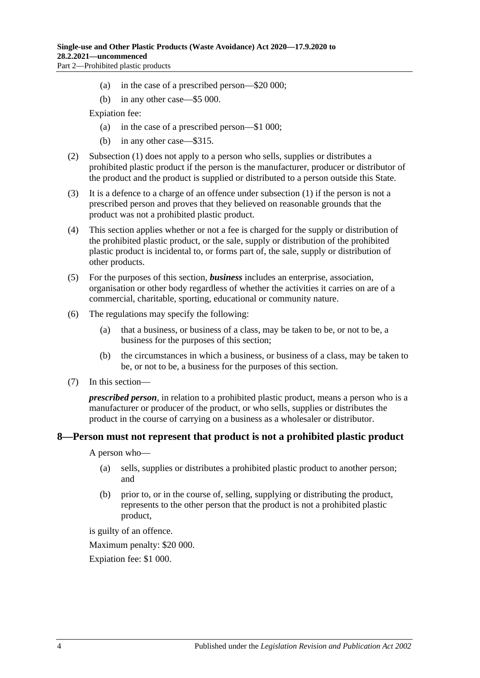- (a) in the case of a prescribed person—\$20 000;
- (b) in any other case—\$5 000.

Expiation fee:

- (a) in the case of a prescribed person—\$1 000;
- (b) in any other case—\$315.
- (2) [Subsection](#page-2-4) (1) does not apply to a person who sells, supplies or distributes a prohibited plastic product if the person is the manufacturer, producer or distributor of the product and the product is supplied or distributed to a person outside this State.
- (3) It is a defence to a charge of an offence under [subsection](#page-2-4) (1) if the person is not a prescribed person and proves that they believed on reasonable grounds that the product was not a prohibited plastic product.
- (4) This section applies whether or not a fee is charged for the supply or distribution of the prohibited plastic product, or the sale, supply or distribution of the prohibited plastic product is incidental to, or forms part of, the sale, supply or distribution of other products.
- (5) For the purposes of this section, *business* includes an enterprise, association, organisation or other body regardless of whether the activities it carries on are of a commercial, charitable, sporting, educational or community nature.
- (6) The regulations may specify the following:
	- (a) that a business, or business of a class, may be taken to be, or not to be, a business for the purposes of this section;
	- (b) the circumstances in which a business, or business of a class, may be taken to be, or not to be, a business for the purposes of this section.
- (7) In this section—

*prescribed person*, in relation to a prohibited plastic product, means a person who is a manufacturer or producer of the product, or who sells, supplies or distributes the product in the course of carrying on a business as a wholesaler or distributor.

#### <span id="page-3-0"></span>**8—Person must not represent that product is not a prohibited plastic product**

A person who—

- (a) sells, supplies or distributes a prohibited plastic product to another person; and
- (b) prior to, or in the course of, selling, supplying or distributing the product, represents to the other person that the product is not a prohibited plastic product,

is guilty of an offence.

Maximum penalty: \$20 000.

Expiation fee: \$1 000.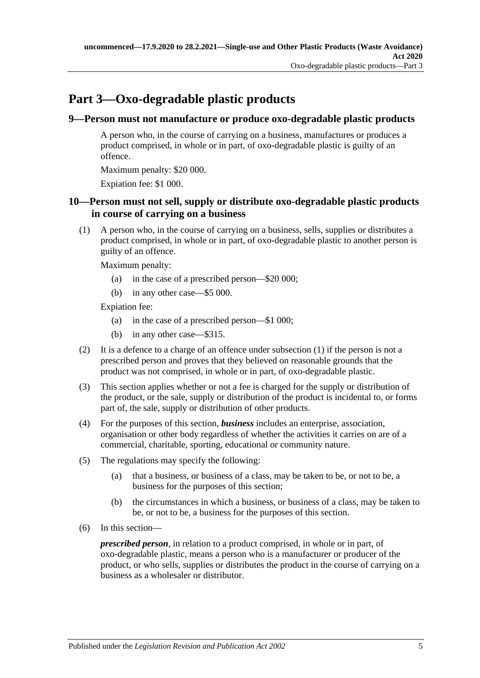## <span id="page-4-0"></span>**Part 3—Oxo-degradable plastic products**

### <span id="page-4-1"></span>**9—Person must not manufacture or produce oxo-degradable plastic products**

A person who, in the course of carrying on a business, manufactures or produces a product comprised, in whole or in part, of oxo-degradable plastic is guilty of an offence.

Maximum penalty: \$20 000.

Expiation fee: \$1 000.

### <span id="page-4-2"></span>**10—Person must not sell, supply or distribute oxo-degradable plastic products in course of carrying on a business**

<span id="page-4-3"></span>(1) A person who, in the course of carrying on a business, sells, supplies or distributes a product comprised, in whole or in part, of oxo-degradable plastic to another person is guilty of an offence.

Maximum penalty:

- (a) in the case of a prescribed person—\$20 000;
- (b) in any other case—\$5 000.

Expiation fee:

- (a) in the case of a prescribed person—\$1 000;
- (b) in any other case—\$315.
- (2) It is a defence to a charge of an offence under [subsection](#page-4-3) (1) if the person is not a prescribed person and proves that they believed on reasonable grounds that the product was not comprised, in whole or in part, of oxo-degradable plastic.
- (3) This section applies whether or not a fee is charged for the supply or distribution of the product, or the sale, supply or distribution of the product is incidental to, or forms part of, the sale, supply or distribution of other products.
- (4) For the purposes of this section, *business* includes an enterprise, association, organisation or other body regardless of whether the activities it carries on are of a commercial, charitable, sporting, educational or community nature.
- (5) The regulations may specify the following:
	- (a) that a business, or business of a class, may be taken to be, or not to be, a business for the purposes of this section;
	- (b) the circumstances in which a business, or business of a class, may be taken to be, or not to be, a business for the purposes of this section.
- (6) In this section—

*prescribed person*, in relation to a product comprised, in whole or in part, of oxo-degradable plastic, means a person who is a manufacturer or producer of the product, or who sells, supplies or distributes the product in the course of carrying on a business as a wholesaler or distributor.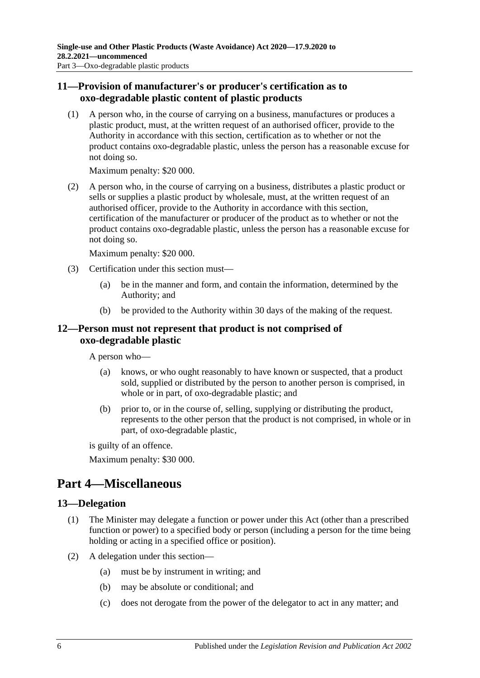### <span id="page-5-0"></span>**11—Provision of manufacturer's or producer's certification as to oxo-degradable plastic content of plastic products**

(1) A person who, in the course of carrying on a business, manufactures or produces a plastic product, must, at the written request of an authorised officer, provide to the Authority in accordance with this section, certification as to whether or not the product contains oxo-degradable plastic, unless the person has a reasonable excuse for not doing so.

Maximum penalty: \$20 000.

(2) A person who, in the course of carrying on a business, distributes a plastic product or sells or supplies a plastic product by wholesale, must, at the written request of an authorised officer, provide to the Authority in accordance with this section, certification of the manufacturer or producer of the product as to whether or not the product contains oxo-degradable plastic, unless the person has a reasonable excuse for not doing so.

Maximum penalty: \$20 000.

- (3) Certification under this section must—
	- (a) be in the manner and form, and contain the information, determined by the Authority; and
	- (b) be provided to the Authority within 30 days of the making of the request.

#### <span id="page-5-1"></span>**12—Person must not represent that product is not comprised of oxo-degradable plastic**

A person who—

- (a) knows, or who ought reasonably to have known or suspected, that a product sold, supplied or distributed by the person to another person is comprised, in whole or in part, of oxo-degradable plastic; and
- (b) prior to, or in the course of, selling, supplying or distributing the product, represents to the other person that the product is not comprised, in whole or in part, of oxo-degradable plastic,

is guilty of an offence.

Maximum penalty: \$30 000.

### <span id="page-5-2"></span>**Part 4—Miscellaneous**

### <span id="page-5-3"></span>**13—Delegation**

- (1) The Minister may delegate a function or power under this Act (other than a prescribed function or power) to a specified body or person (including a person for the time being holding or acting in a specified office or position).
- (2) A delegation under this section—
	- (a) must be by instrument in writing; and
	- (b) may be absolute or conditional; and
	- (c) does not derogate from the power of the delegator to act in any matter; and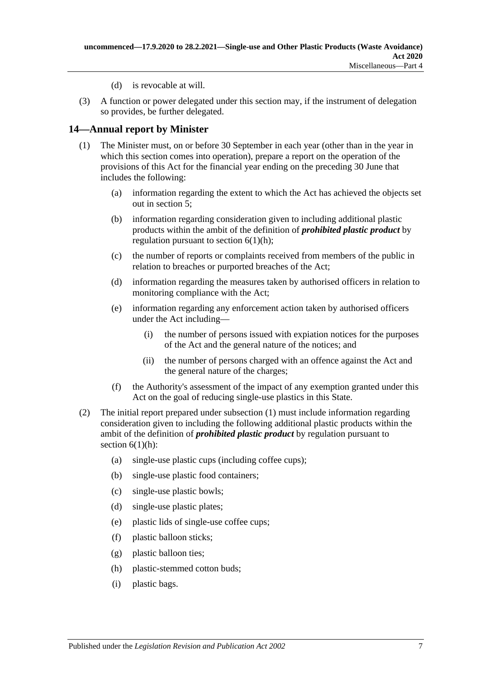- (d) is revocable at will.
- (3) A function or power delegated under this section may, if the instrument of delegation so provides, be further delegated.

### <span id="page-6-1"></span><span id="page-6-0"></span>**14—Annual report by Minister**

- (1) The Minister must, on or before 30 September in each year (other than in the year in which this section comes into operation), prepare a report on the operation of the provisions of this Act for the financial year ending on the preceding 30 June that includes the following:
	- (a) information regarding the extent to which the Act has achieved the objects set out in [section](#page-1-5) 5;
	- (b) information regarding consideration given to including additional plastic products within the ambit of the definition of *prohibited plastic product* by regulation pursuant to section  $6(1)(h)$ ;
	- (c) the number of reports or complaints received from members of the public in relation to breaches or purported breaches of the Act;
	- (d) information regarding the measures taken by authorised officers in relation to monitoring compliance with the Act;
	- (e) information regarding any enforcement action taken by authorised officers under the Act including—
		- (i) the number of persons issued with expiation notices for the purposes of the Act and the general nature of the notices; and
		- (ii) the number of persons charged with an offence against the Act and the general nature of the charges;
	- (f) the Authority's assessment of the impact of any exemption granted under this Act on the goal of reducing single-use plastics in this State.
- (2) The initial report prepared under [subsection](#page-6-1) (1) must include information regarding consideration given to including the following additional plastic products within the ambit of the definition of *prohibited plastic product* by regulation pursuant to section  $6(1)(h)$ :
	- (a) single-use plastic cups (including coffee cups);
	- (b) single-use plastic food containers;
	- (c) single-use plastic bowls;
	- (d) single-use plastic plates;
	- (e) plastic lids of single-use coffee cups;
	- (f) plastic balloon sticks;
	- (g) plastic balloon ties;
	- (h) plastic-stemmed cotton buds;
	- (i) plastic bags.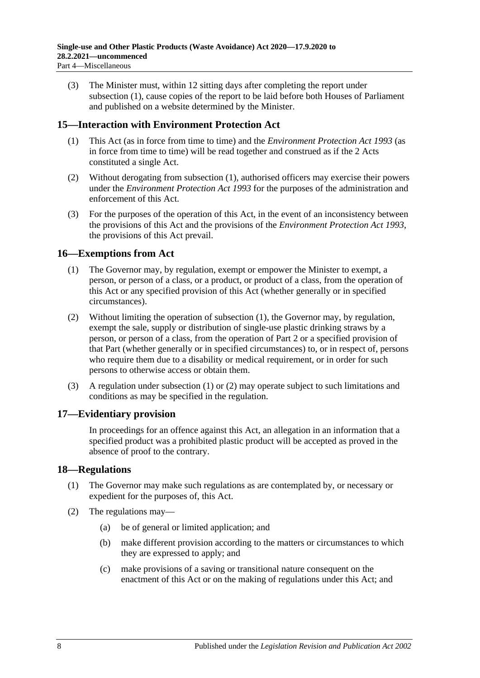(3) The Minister must, within 12 sitting days after completing the report under [subsection](#page-6-1) (1), cause copies of the report to be laid before both Houses of Parliament and published on a website determined by the Minister.

### <span id="page-7-4"></span><span id="page-7-0"></span>**15—Interaction with Environment Protection Act**

- (1) This Act (as in force from time to time) and the *[Environment Protection Act](http://www.legislation.sa.gov.au/index.aspx?action=legref&type=act&legtitle=Environment%20Protection%20Act%201993) 1993* (as in force from time to time) will be read together and construed as if the 2 Acts constituted a single Act.
- (2) Without derogating from [subsection](#page-7-4) (1), authorised officers may exercise their powers under the *[Environment Protection Act](http://www.legislation.sa.gov.au/index.aspx?action=legref&type=act&legtitle=Environment%20Protection%20Act%201993) 1993* for the purposes of the administration and enforcement of this Act.
- (3) For the purposes of the operation of this Act, in the event of an inconsistency between the provisions of this Act and the provisions of the *[Environment Protection Act](http://www.legislation.sa.gov.au/index.aspx?action=legref&type=act&legtitle=Environment%20Protection%20Act%201993) 1993*, the provisions of this Act prevail.

### <span id="page-7-5"></span><span id="page-7-1"></span>**16—Exemptions from Act**

- (1) The Governor may, by regulation, exempt or empower the Minister to exempt, a person, or person of a class, or a product, or product of a class, from the operation of this Act or any specified provision of this Act (whether generally or in specified circumstances).
- <span id="page-7-6"></span>(2) Without limiting the operation of [subsection](#page-7-5) (1), the Governor may, by regulation, exempt the sale, supply or distribution of single-use plastic drinking straws by a person, or person of a class, from the operation of [Part](#page-2-0) 2 or a specified provision of that Part (whether generally or in specified circumstances) to, or in respect of, persons who require them due to a disability or medical requirement, or in order for such persons to otherwise access or obtain them.
- (3) A regulation under [subsection](#page-7-5) (1) or [\(2\)](#page-7-6) may operate subject to such limitations and conditions as may be specified in the regulation.

### <span id="page-7-2"></span>**17—Evidentiary provision**

In proceedings for an offence against this Act, an allegation in an information that a specified product was a prohibited plastic product will be accepted as proved in the absence of proof to the contrary.

### <span id="page-7-3"></span>**18—Regulations**

- (1) The Governor may make such regulations as are contemplated by, or necessary or expedient for the purposes of, this Act.
- (2) The regulations may—
	- (a) be of general or limited application; and
	- (b) make different provision according to the matters or circumstances to which they are expressed to apply; and
	- (c) make provisions of a saving or transitional nature consequent on the enactment of this Act or on the making of regulations under this Act; and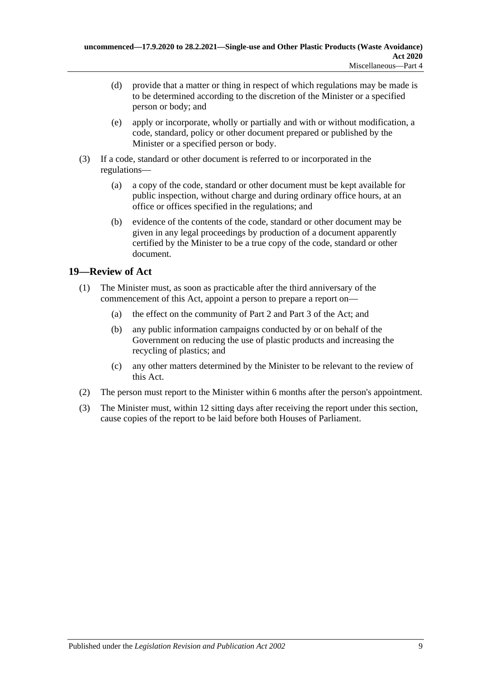- (d) provide that a matter or thing in respect of which regulations may be made is to be determined according to the discretion of the Minister or a specified person or body; and
- (e) apply or incorporate, wholly or partially and with or without modification, a code, standard, policy or other document prepared or published by the Minister or a specified person or body.
- (3) If a code, standard or other document is referred to or incorporated in the regulations—
	- (a) a copy of the code, standard or other document must be kept available for public inspection, without charge and during ordinary office hours, at an office or offices specified in the regulations; and
	- (b) evidence of the contents of the code, standard or other document may be given in any legal proceedings by production of a document apparently certified by the Minister to be a true copy of the code, standard or other document.

### <span id="page-8-0"></span>**19—Review of Act**

- (1) The Minister must, as soon as practicable after the third anniversary of the commencement of this Act, appoint a person to prepare a report on—
	- (a) the effect on the community of [Part](#page-2-0) 2 and [Part](#page-4-0) 3 of the Act; and
	- (b) any public information campaigns conducted by or on behalf of the Government on reducing the use of plastic products and increasing the recycling of plastics; and
	- (c) any other matters determined by the Minister to be relevant to the review of this Act.
- (2) The person must report to the Minister within 6 months after the person's appointment.
- (3) The Minister must, within 12 sitting days after receiving the report under this section, cause copies of the report to be laid before both Houses of Parliament.